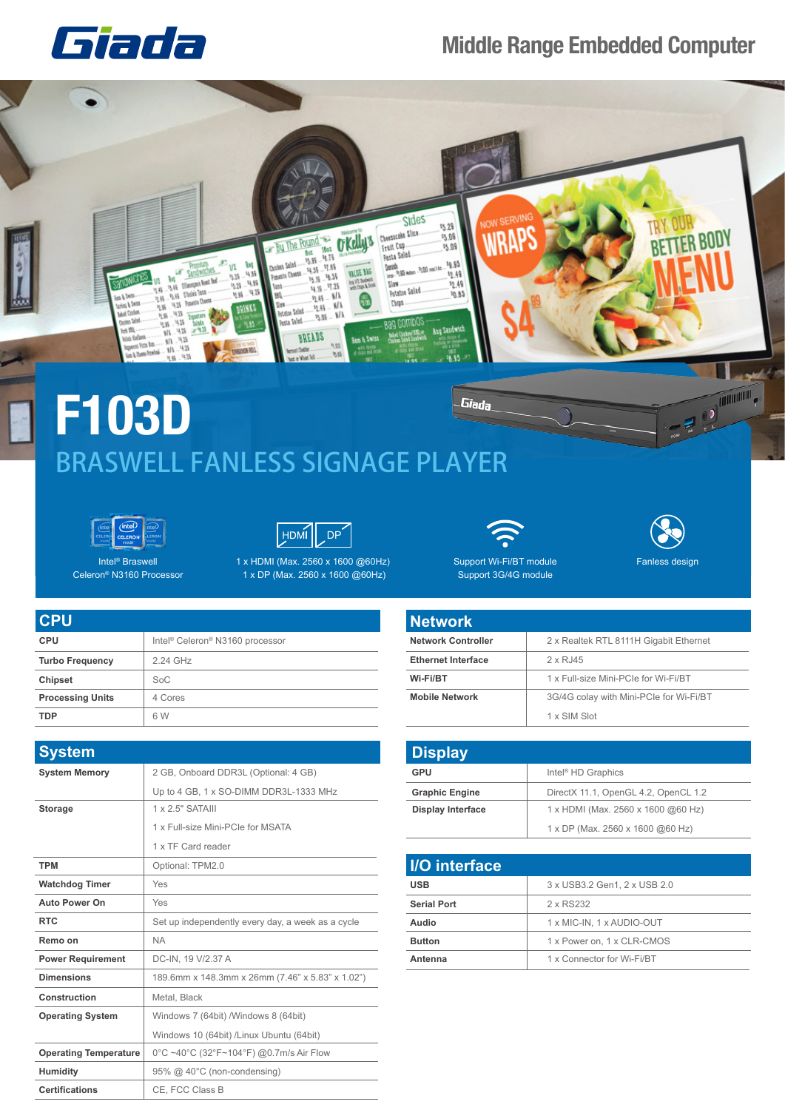## Giada

## **Middle Range Embedded Computer**



## BRASWELL FANLESS SIGNAGE PLAYER





Intel® Braswell Celeron® N3160 Processor

**Processing Units** 4 Cores

**TDP**

| 1 x HDMI (Max. 2560 x 1600 @60Hz) |
|-----------------------------------|
| 1 x DP (Max. 2560 x 1600 @60Hz)   |



Fanless design

Support Wi-Fi/BT module Support 3G/4G module

| <b>Network</b>            |                                         |
|---------------------------|-----------------------------------------|
| <b>Network Controller</b> | 2 x Realtek RTL 8111H Gigabit Ethernet  |
| <b>Ethernet Interface</b> | 2 x RJ45                                |
| Wi-Fi/BT                  | 1 x Full-size Mini-PCIe for Wi-Fi/BT    |
| <b>Mobile Network</b>     | 3G/4G colay with Mini-PCIe for Wi-Fi/BT |

| <b>Display</b>           |                                      |  |
|--------------------------|--------------------------------------|--|
| GPU                      | Intel <sup>®</sup> HD Graphics       |  |
| <b>Graphic Engine</b>    | DirectX 11.1, OpenGL 4.2, OpenCL 1.2 |  |
| <b>Display Interface</b> | 1 x HDMI (Max. 2560 x 1600 @60 Hz)   |  |
|                          | 1 x DP (Max. 2560 x 1600 @60 Hz)     |  |

1 x SIM Slot

| <b>I/O</b> interface |                              |  |
|----------------------|------------------------------|--|
| <b>USB</b>           | 3 x USB3.2 Gen1, 2 x USB 2.0 |  |
| <b>Serial Port</b>   | 2 x RS232                    |  |
| Audio                | 1 x MIC-IN, 1 x AUDIO-OUT    |  |
| <b>Button</b>        | 1 x Power on, 1 x CLR-CMOS   |  |
| Antenna              | 1 x Connector for Wi-Fi/BT   |  |
|                      |                              |  |

| <b>CPU</b>             |                                                         |
|------------------------|---------------------------------------------------------|
| <b>CPU</b>             | Intel <sup>®</sup> Celeron <sup>®</sup> N3160 processor |
| <b>Turbo Frequency</b> | 2.24 GHz                                                |
| <b>Chipset</b>         | $S_0C$                                                  |

6 W

| <b>System</b>                |                                                   |
|------------------------------|---------------------------------------------------|
| <b>System Memory</b>         | 2 GB, Onboard DDR3L (Optional: 4 GB)              |
|                              | Up to 4 GB, 1 x SO-DIMM DDR3L-1333 MHz            |
| <b>Storage</b>               | 1 x 2.5" SATAIII                                  |
|                              | 1 x Full-size Mini-PCIe for MSATA                 |
|                              | 1 x TF Card reader                                |
| <b>TPM</b>                   | Optional: TPM2.0                                  |
| <b>Watchdog Timer</b>        | Yes                                               |
| <b>Auto Power On</b>         | Yes                                               |
| <b>RTC</b>                   | Set up independently every day, a week as a cycle |
| Remo on                      | <b>NA</b>                                         |
| <b>Power Requirement</b>     | DC-IN. 19 V/2.37 A                                |
| <b>Dimensions</b>            | 189.6mm x 148.3mm x 26mm (7.46" x 5.83" x 1.02")  |
| Construction                 | Metal, Black                                      |
| <b>Operating System</b>      | Windows 7 (64bit) / Windows 8 (64bit)             |
|                              | Windows 10 (64bit) /Linux Ubuntu (64bit)          |
| <b>Operating Temperature</b> | 0°C ~40°C (32°F~104°F) @0.7m/s Air Flow           |
| <b>Humidity</b>              | 95% @ 40°C (non-condensing)                       |
| <b>Certifications</b>        | CE. FCC Class B                                   |